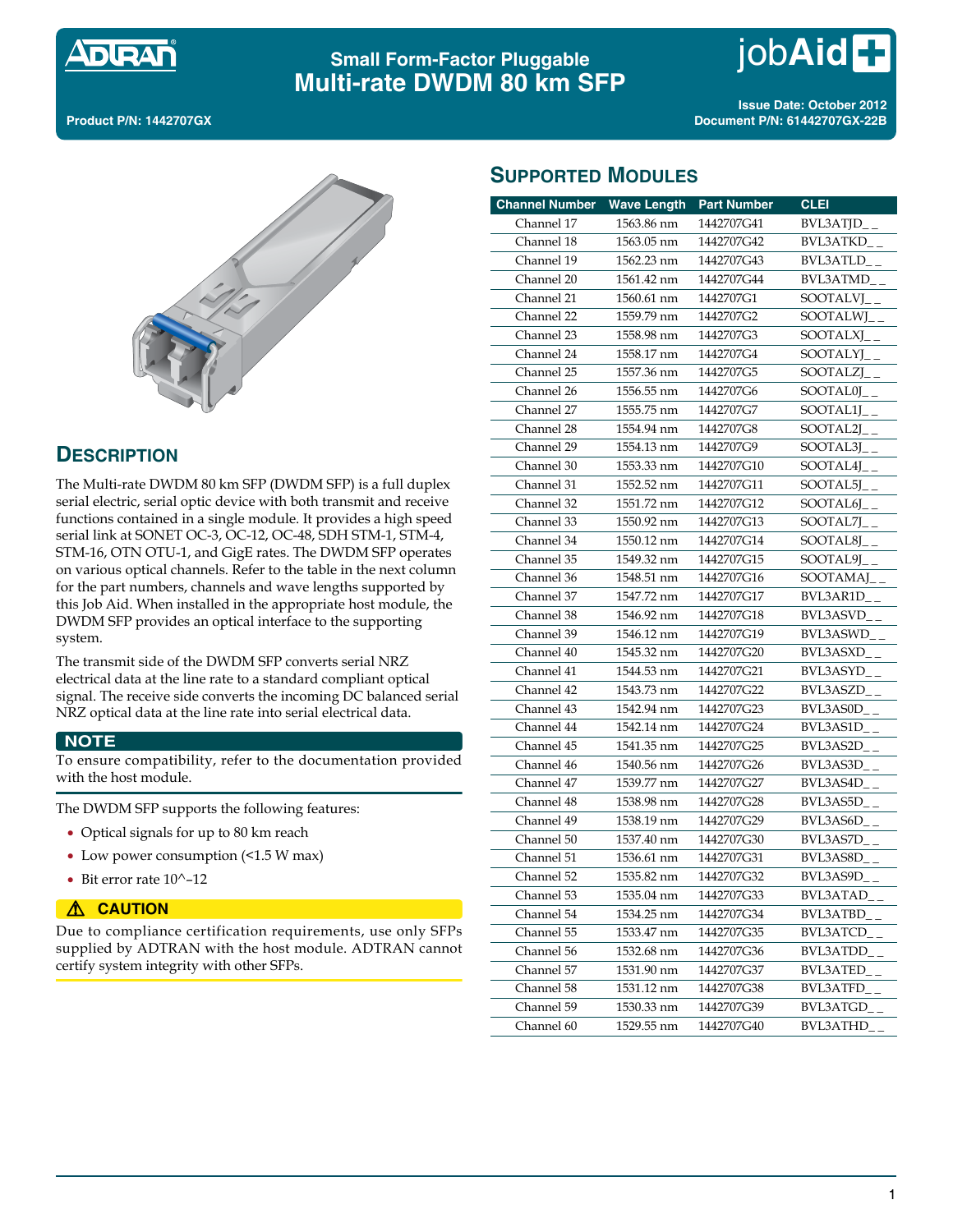

# **Small Form-Factor Pluggable Multi-rate DWDM 80 km SFP**

**Product P/N: 1442707GX**

**Issue Date: October 2012 Document P/N: 61442707GX-22B**



# **DESCRIPTION**

The Multi-rate DWDM 80 km SFP (DWDM SFP) is a full duplex serial electric, serial optic device with both transmit and receive functions contained in a single module. It provides a high speed serial link at SONET OC-3, OC-12, OC-48, SDH STM-1, STM-4, STM-16, OTN OTU-1, and GigE rates. The DWDM SFP operates on various optical channels. Refer to the table in the next column for the part numbers, channels and wave lengths supported by this Job Aid. When installed in the appropriate host module, the DWDM SFP provides an optical interface to the supporting system.

The transmit side of the DWDM SFP converts serial NRZ electrical data at the line rate to a standard compliant optical signal. The receive side converts the incoming DC balanced serial NRZ optical data at the line rate into serial electrical data.

#### **NOTE**

To ensure compatibility, refer to the documentation provided with the host module.

The DWDM SFP supports the following features:

- Optical signals for up to 80 km reach
- Low power consumption (<1.5 W max)
- $\bullet$  Bit error rate 10^-12

#### **A** CAUTION

Due to compliance certification requirements, use only SFPs supplied by ADTRAN with the host module. ADTRAN cannot certify system integrity with other SFPs.

| <b>SUPPORTED MODULES</b> |  |
|--------------------------|--|
|--------------------------|--|

| <b>Channel Number</b> | <b>Wave Length</b> | <b>Part Number</b> | <b>CLEI</b>      |
|-----------------------|--------------------|--------------------|------------------|
| Channel 17            | 1563.86 nm         | 1442707G41         | $BVL3ATJD_{-}$   |
| Channel 18            | 1563.05 nm         | 1442707G42         | BVL3ATKD         |
| Channel 19            | 1562.23 nm         | 1442707G43         | <b>BVL3ATLD</b>  |
| Channel 20            | 1561.42 nm         | 1442707G44         | <b>BVL3ATMD</b>  |
| Channel 21            | 1560.61 nm         | 1442707G1          | SOOTALVI         |
| Channel 22            | 1559.79 nm         | 1442707G2          | SOOTALWI         |
| Channel 23            | 1558.98 nm         | 1442707G3          | SOOTALXJ         |
| Channel 24            | 1558.17 nm         | 1442707G4          | SOOTALYJ         |
| Channel 25            | 1557.36 nm         | 1442707G5          | SOOTALZJ         |
| Channel 26            | 1556.55 nm         | 1442707G6          | <b>SOOTAL0I</b>  |
| Channel 27            | 1555.75 nm         | 1442707G7          | SOOTAL1I         |
| Channel 28            | 1554.94 nm         | 1442707G8          | SOOTAL2J         |
| Channel 29            | 1554.13 nm         | 1442707G9          | SOOTAL3J         |
| Channel 30            | 1553.33 nm         | 1442707G10         | SOOTAL4J         |
| Channel 31            | 1552.52 nm         | 1442707G11         | SOOTAL5J         |
| Channel 32            | 1551.72 nm         | 1442707G12         | SOOTAL6J         |
| Channel 33            | 1550.92 nm         | 1442707G13         | SOOTAL7J         |
| Channel 34            | 1550.12 nm         | 1442707G14         | SOOTAL8J         |
| Channel 35            | 1549.32 nm         | 1442707G15         | SOOTAL9J         |
| Channel 36            | 1548.51 nm         | 1442707G16         | SOOTAMAJ         |
| Channel 37            | 1547.72 nm         | 1442707G17         | BVL3AR1D         |
| Channel 38            | 1546.92 nm         | 1442707G18         | BVL3ASVD         |
| Channel 39            | 1546.12 nm         | 1442707G19         | <b>BVI 3ASWD</b> |
| Channel 40            | 1545.32 nm         | 1442707G20         | BVL3ASXD         |
| Channel 41            | 1544.53 nm         | 1442707G21         | BVL3ASYD         |
| Channel 42            | 1543.73 nm         | 1442707G22         | <b>BVL3ASZD</b>  |
| Channel 43            | 1542.94 nm         | 1442707G23         | BVL3AS0D         |
| Channel 44            | 1542.14 nm         | 1442707G24         | BVL3AS1D         |
| Channel 45            | 1541.35 nm         | 1442707G25         | BVL3AS2D         |
| Channel 46            | 1540.56 nm         | 1442707G26         | BVL3AS3D         |
| Channel 47            | 1539.77 nm         | 1442707G27         | BVL3AS4D         |
| Channel 48            | 1538.98 nm         | 1442707G28         | BVL3AS5D         |
| Channel 49            | 1538.19 nm         | 1442707G29         | BVL3AS6D         |
| Channel 50            | 1537.40 nm         | 1442707G30         | BVI 3AS7D        |
| Channel 51            | 1536.61 nm         | 1442707G31         | BVL3AS8D         |
| Channel 52            | 1535.82 nm         | 1442707G32         | BVL3AS9D         |
| Channel 53            | 1535.04 nm         | 1442707G33         | BVL3ATAD__       |
| Channel 54            | 1534.25 nm         | 1442707G34         | <b>BVL3ATBD</b>  |
| Channel 55            | 1533.47 nm         | 1442707G35         | <b>BVL3ATCD</b>  |
| Channel 56            | 1532.68 nm         | 1442707G36         | <b>BVL3ATDD</b>  |
| Channel 57            | 1531.90 nm         | 1442707G37         | <b>BVL3ATED</b>  |
| Channel 58            | 1531.12 nm         | 1442707G38         | <b>BVL3ATFD</b>  |
| Channel 59            | 1530.33 nm         | 1442707G39         | <b>BVL3ATGD</b>  |
| Channel 60            | 1529.55 nm         | 1442707G40         | <b>BVL3ATHD</b>  |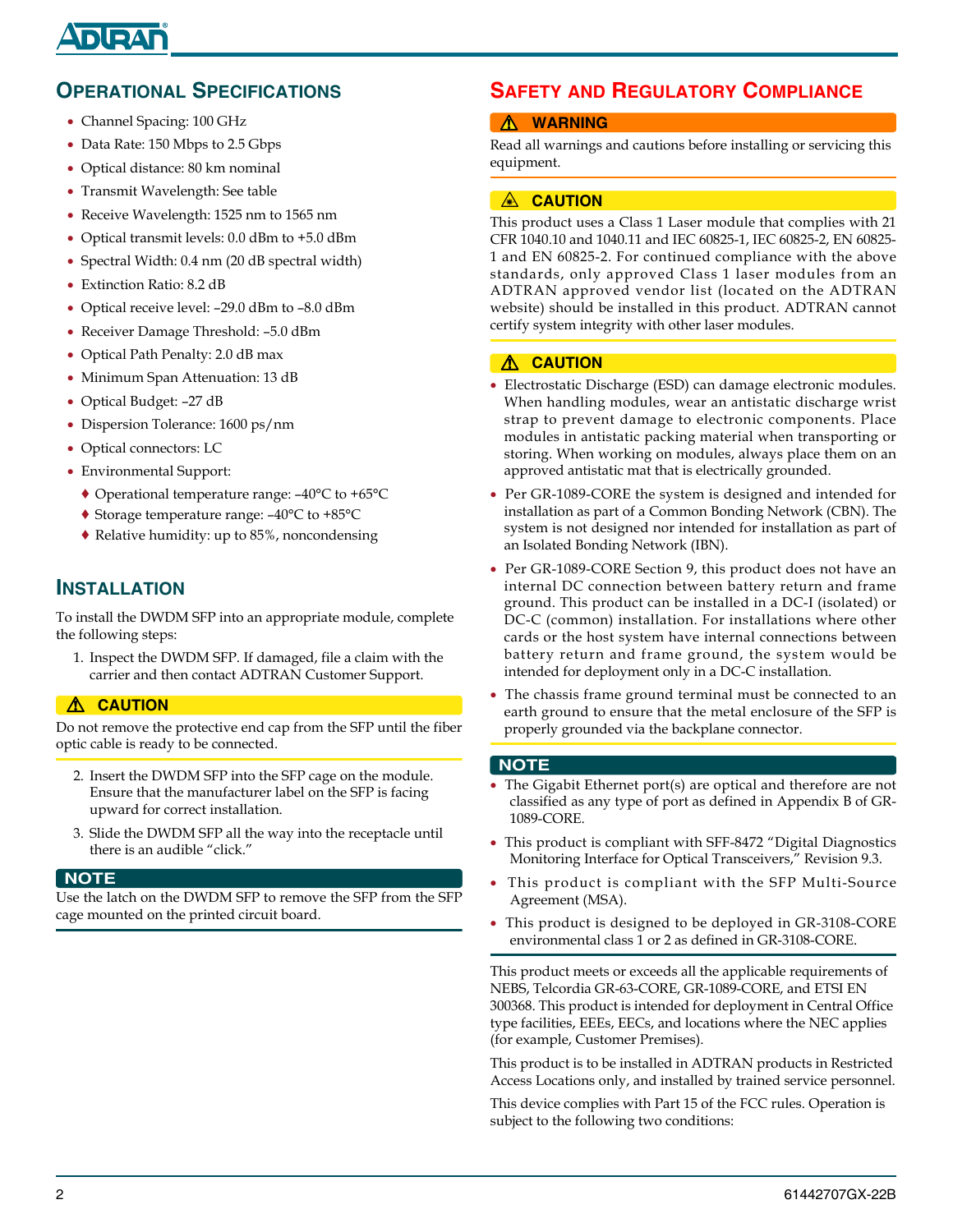# DIRAF

# **OPERATIONAL SPECIFICATIONS**

- Channel Spacing: 100 GHz
- Data Rate: 150 Mbps to 2.5 Gbps
- Optical distance: 80 km nominal
- Transmit Wavelength: See table
- Receive Wavelength: 1525 nm to 1565 nm
- Optical transmit levels: 0.0 dBm to +5.0 dBm
- Spectral Width: 0.4 nm (20 dB spectral width)
- Extinction Ratio: 8.2 dB
- Optical receive level: –29.0 dBm to –8.0 dBm
- Receiver Damage Threshold: –5.0 dBm
- Optical Path Penalty: 2.0 dB max
- Minimum Span Attenuation: 13 dB
- Optical Budget: –27 dB
- Dispersion Tolerance: 1600 ps/nm
- Optical connectors: LC
- Environmental Support:
	- ♦ Operational temperature range: –40°C to +65°C
	- ♦ Storage temperature range: –40°C to +85°C
	- ♦ Relative humidity: up to 85%, noncondensing

## **INSTALLATION**

To install the DWDM SFP into an appropriate module, complete the following steps:

1. Inspect the DWDM SFP. If damaged, file a claim with the carrier and then contact ADTRAN Customer Support.

## ! **CAUTION**

Do not remove the protective end cap from the SFP until the fiber optic cable is ready to be connected.

- 2. Insert the DWDM SFP into the SFP cage on the module. Ensure that the manufacturer label on the SFP is facing upward for correct installation.
- 3. Slide the DWDM SFP all the way into the receptacle until there is an audible "click."

#### **NOTE**

Use the latch on the DWDM SFP to remove the SFP from the SFP cage mounted on the printed circuit board.

# **SAFETY AND REGULATORY COMPLIANCE**

## ! **WARNING**

Read all warnings and cautions before installing or servicing this equipment.

## A **CAUTION**

This product uses a Class 1 Laser module that complies with 21 CFR 1040.10 and 1040.11 and IEC 60825-1, IEC 60825-2, EN 60825- 1 and EN 60825-2. For continued compliance with the above standards, only approved Class 1 laser modules from an ADTRAN approved vendor list (located on the ADTRAN website) should be installed in this product. ADTRAN cannot certify system integrity with other laser modules.

## $\triangle$  **CAUTION**

- Electrostatic Discharge (ESD) can damage electronic modules. When handling modules, wear an antistatic discharge wrist strap to prevent damage to electronic components. Place modules in antistatic packing material when transporting or storing. When working on modules, always place them on an approved antistatic mat that is electrically grounded.
- Per GR-1089-CORE the system is designed and intended for installation as part of a Common Bonding Network (CBN). The system is not designed nor intended for installation as part of an Isolated Bonding Network (IBN).
- Per GR-1089-CORE Section 9, this product does not have an internal DC connection between battery return and frame ground. This product can be installed in a DC-I (isolated) or DC-C (common) installation. For installations where other cards or the host system have internal connections between battery return and frame ground, the system would be intended for deployment only in a DC-C installation.
- The chassis frame ground terminal must be connected to an earth ground to ensure that the metal enclosure of the SFP is properly grounded via the backplane connector.

## **NOTE**

- The Gigabit Ethernet port(s) are optical and therefore are not classified as any type of port as defined in Appendix B of GR-1089-CORE.
- This product is compliant with SFF-8472 "Digital Diagnostics Monitoring Interface for Optical Transceivers," Revision 9.3.
- This product is compliant with the SFP Multi-Source Agreement (MSA).
- This product is designed to be deployed in GR-3108-CORE environmental class 1 or 2 as defined in GR-3108-CORE.

This product meets or exceeds all the applicable requirements of NEBS, Telcordia GR-63-CORE, GR-1089-CORE, and ETSI EN 300368. This product is intended for deployment in Central Office type facilities, EEEs, EECs, and locations where the NEC applies (for example, Customer Premises).

This product is to be installed in ADTRAN products in Restricted Access Locations only, and installed by trained service personnel.

This device complies with Part 15 of the FCC rules. Operation is subject to the following two conditions: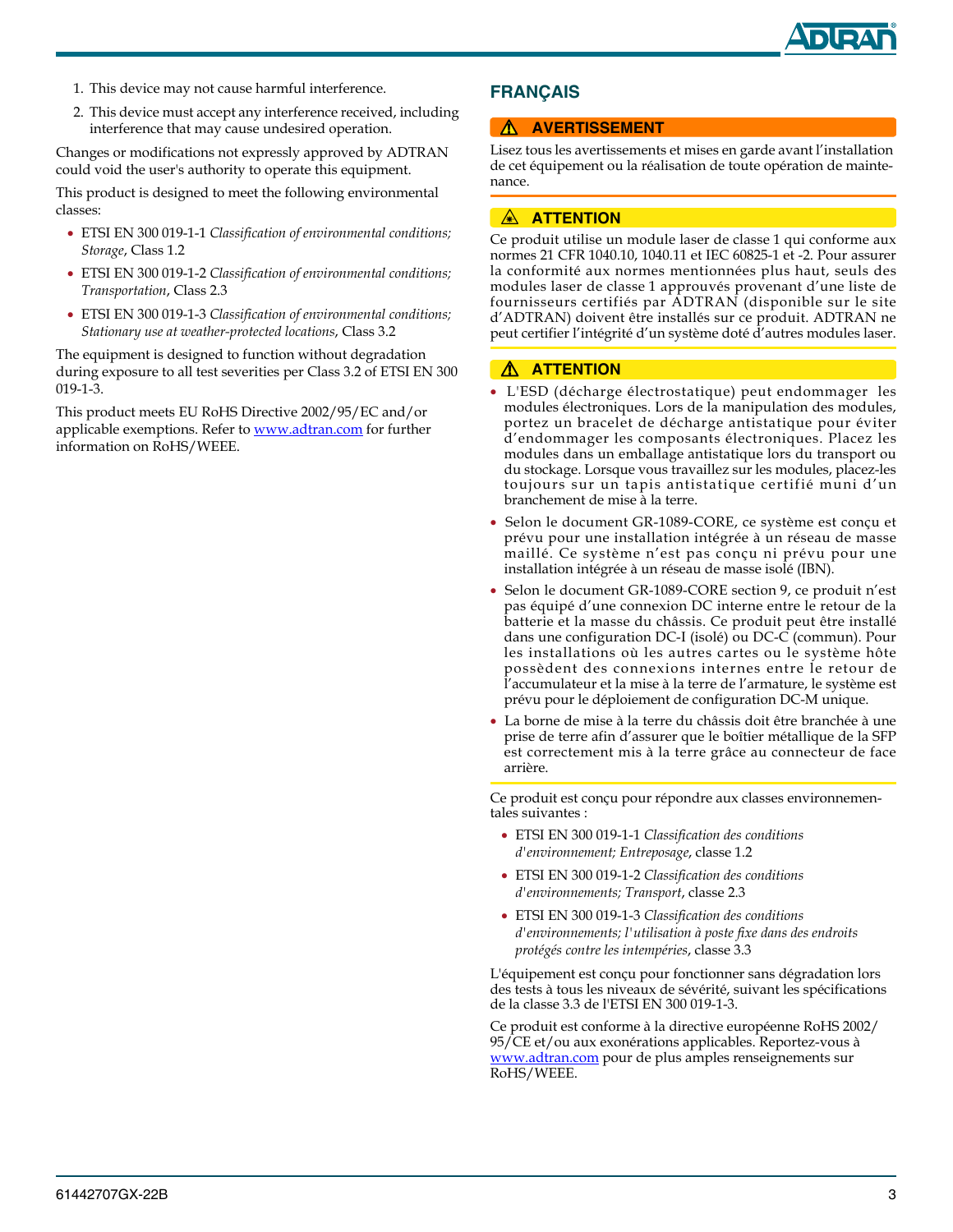

- 1. This device may not cause harmful interference.
- 2. This device must accept any interference received, including interference that may cause undesired operation.

Changes or modifications not expressly approved by ADTRAN could void the user's authority to operate this equipment.

This product is designed to meet the following environmental classes:

- ETSI EN 300 019-1-1 *Classification of environmental conditions; Storage*, Class 1.2
- ETSI EN 300 019-1-2 *Classification of environmental conditions; Transportation*, Class 2.3
- ETSI EN 300 019-1-3 *Classification of environmental conditions; Stationary use at weather-protected locations*, Class 3.2

The equipment is designed to function without degradation during exposure to all test severities per Class 3.2 of ETSI EN 300 019-1-3.

[This product meets EU RoHS Directive 2002/95/EC and/or](http://www.adtran.com)  [applicable exemptions. Refer to](http://www.adtran.com) www.adtran.com for further information on RoHS/WEEE.

## **FRANÇAIS**

#### **A AVERTISSEMENT**

Lisez tous les avertissements et mises en garde avant l'installation de cet équipement ou la réalisation de toute opération de maintenance.

#### **A ATTENTION**

Ce produit utilise un module laser de classe 1 qui conforme aux normes 21 CFR 1040.10, 1040.11 et IEC 60825-1 et -2. Pour assurer la conformité aux normes mentionnées plus haut, seuls des modules laser de classe 1 approuvés provenant d'une liste de fournisseurs certifiés par ADTRAN (disponible sur le site d'ADTRAN) doivent être installés sur ce produit. ADTRAN ne peut certifier l'intégrité d'un système doté d'autres modules laser.

## ! **ATTENTION**

- L'ESD (décharge électrostatique) peut endommager les modules électroniques. Lors de la manipulation des modules, portez un bracelet de décharge antistatique pour éviter d'endommager les composants électroniques. Placez les modules dans un emballage antistatique lors du transport ou du stockage. Lorsque vous travaillez sur les modules, placez-les toujours sur un tapis antistatique certifié muni d'un branchement de mise à la terre.
- Selon le document GR-1089-CORE, ce système est conçu et prévu pour une installation intégrée à un réseau de masse maillé. Ce système n'est pas conçu ni prévu pour une installation intégrée à un réseau de masse isolé (IBN).
- Selon le document GR-1089-CORE section 9, ce produit n'est pas équipé d'une connexion DC interne entre le retour de la batterie et la masse du châssis. Ce produit peut être installé dans une configuration DC-I (isolé) ou DC-C (commun). Pour les installations où les autres cartes ou le système hôte possèdent des connexions internes entre le retour de l'accumulateur et la mise à la terre de l'armature, le système est prévu pour le déploiement de configuration DC-M unique.
- La borne de mise à la terre du châssis doit être branchée à une prise de terre afin d'assurer que le boîtier métallique de la SFP est correctement mis à la terre grâce au connecteur de face arrière.

Ce produit est conçu pour répondre aux classes environnementales suivantes :

- ETSI EN 300 019-1-1 *Classification des conditions d'environnement; Entreposage*, classe 1.2
- ETSI EN 300 019-1-2 *Classification des conditions d'environnements; Transport*, classe 2.3
- ETSI EN 300 019-1-3 *Classification des conditions d'environnements; l'utilisation à poste fixe dans des endroits protégés contre les intempéries*, classe 3.3

L'équipement est conçu pour fonctionner sans dégradation lors des tests à tous les niveaux de sévérité, suivant les spécifications de la classe 3.3 de l'ETSI EN 300 019-1-3.

Ce produit est conforme à la directive européenne RoHS 2002/ 95/CE et/ou aux exonérations applicables. Reportez-vous à www.adtran.com pour de plus amples renseignements sur RoHS/WEEE.